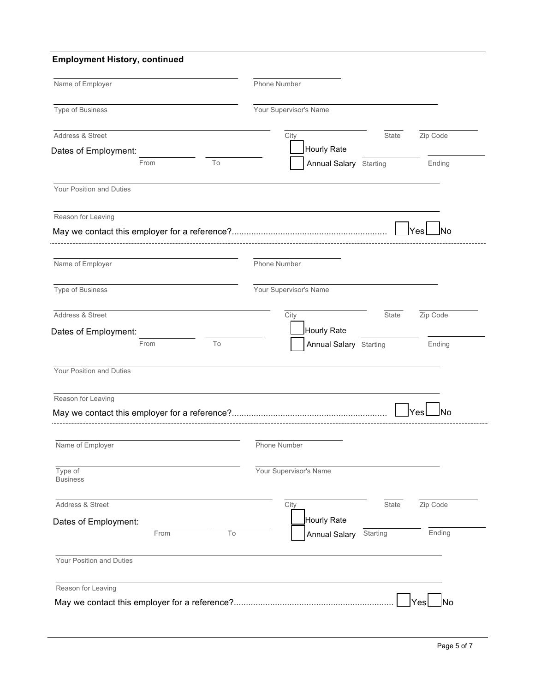## **Employment History, continued**

| Name of Employer           | Phone Number                               |
|----------------------------|--------------------------------------------|
| Type of Business           | Your Supervisor's Name                     |
| Address & Street           | Zip Code<br>City<br>State                  |
| Dates of Employment:       | Hourly Rate                                |
| To<br>From                 | <b>Annual Salary</b> Starting<br>Ending    |
| Your Position and Duties   |                                            |
| Reason for Leaving         |                                            |
|                            | Yes                                        |
| Name of Employer           | Phone Number                               |
| Type of Business           | Your Supervisor's Name                     |
| Address & Street           | Zip Code<br>City<br>State                  |
| Dates of Employment:       | Hourly Rate                                |
| To<br>From                 | <b>Annual Salary</b> Starting<br>Ending    |
| Your Position and Duties   |                                            |
| Reason for Leaving         |                                            |
|                            | Yes<br>ເດ                                  |
| Name of Employer           | Phone Number                               |
| Type of<br><b>Business</b> | Your Supervisor's Name                     |
| Address & Street           | State<br>Zip Code<br>City                  |
| Dates of Employment:       | Hourly Rate                                |
| To<br>From                 | Ending<br>Starting<br><b>Annual Salary</b> |
| Your Position and Duties   |                                            |
|                            |                                            |
| Reason for Leaving         |                                            |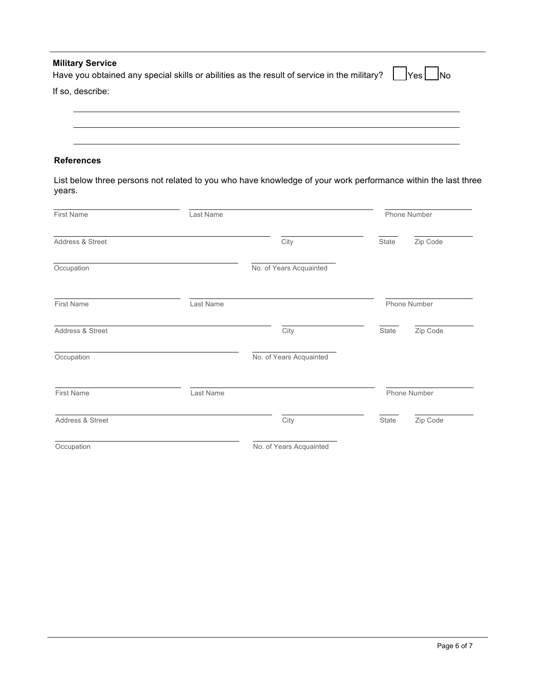| <b>Military Service</b><br>Have you obtained any special skills or abilities as the result of service in the military? $\vert \vert_{\text{Yes}} \vert \vert_{\text{No}}$ |  |
|---------------------------------------------------------------------------------------------------------------------------------------------------------------------------|--|
| If so, describe:                                                                                                                                                          |  |
|                                                                                                                                                                           |  |

## **References**

List below three persons not related to you who have knowledge of your work performance within the last three years.

| <b>First Name</b> | Last Name |                         | Phone Number |          |
|-------------------|-----------|-------------------------|--------------|----------|
| Address & Street  |           | City                    | State        | Zip Code |
| Occupation        |           | No. of Years Acquainted |              |          |
| <b>First Name</b> | Last Name |                         | Phone Number |          |
| Address & Street  |           | City                    | State        | Zip Code |
| Occupation        |           | No. of Years Acquainted |              |          |
| <b>First Name</b> | Last Name |                         | Phone Number |          |
| Address & Street  |           | City                    | State        | Zip Code |
| Occupation        |           | No. of Years Acquainted |              |          |